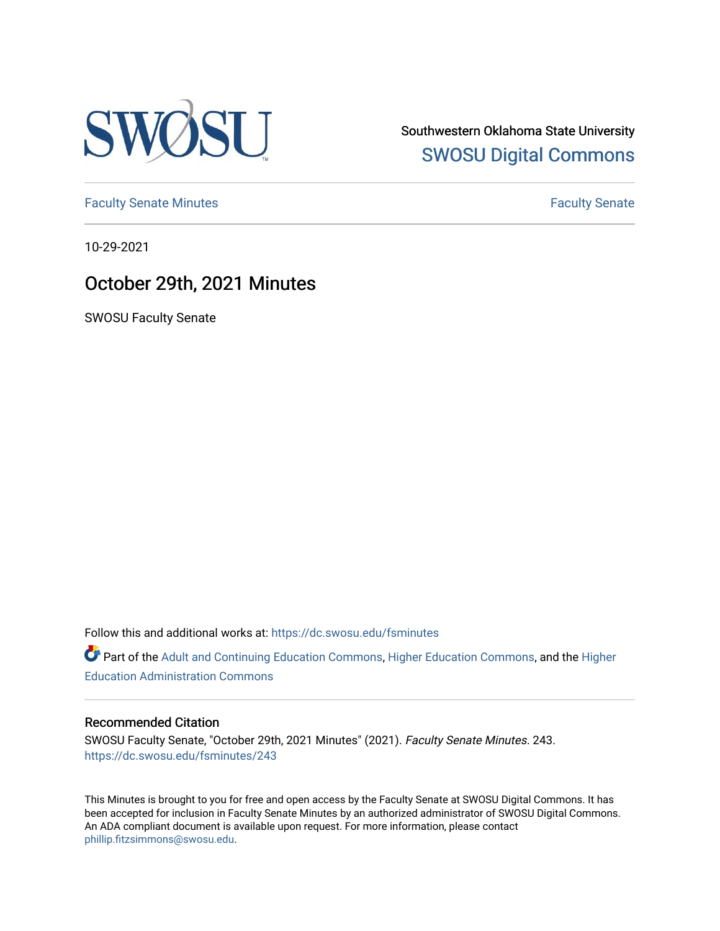

Southwestern Oklahoma State University [SWOSU Digital Commons](https://dc.swosu.edu/) 

[Faculty Senate Minutes](https://dc.swosu.edu/fsminutes) **Faculty** Senate Minutes

10-29-2021

## October 29th, 2021 Minutes

SWOSU Faculty Senate

Follow this and additional works at: [https://dc.swosu.edu/fsminutes](https://dc.swosu.edu/fsminutes?utm_source=dc.swosu.edu%2Ffsminutes%2F243&utm_medium=PDF&utm_campaign=PDFCoverPages) 

Part of the [Adult and Continuing Education Commons,](http://network.bepress.com/hgg/discipline/1375?utm_source=dc.swosu.edu%2Ffsminutes%2F243&utm_medium=PDF&utm_campaign=PDFCoverPages) [Higher Education Commons,](http://network.bepress.com/hgg/discipline/1245?utm_source=dc.swosu.edu%2Ffsminutes%2F243&utm_medium=PDF&utm_campaign=PDFCoverPages) and the [Higher](http://network.bepress.com/hgg/discipline/791?utm_source=dc.swosu.edu%2Ffsminutes%2F243&utm_medium=PDF&utm_campaign=PDFCoverPages) [Education Administration Commons](http://network.bepress.com/hgg/discipline/791?utm_source=dc.swosu.edu%2Ffsminutes%2F243&utm_medium=PDF&utm_campaign=PDFCoverPages) 

#### Recommended Citation

SWOSU Faculty Senate, "October 29th, 2021 Minutes" (2021). Faculty Senate Minutes. 243. [https://dc.swosu.edu/fsminutes/243](https://dc.swosu.edu/fsminutes/243?utm_source=dc.swosu.edu%2Ffsminutes%2F243&utm_medium=PDF&utm_campaign=PDFCoverPages) 

This Minutes is brought to you for free and open access by the Faculty Senate at SWOSU Digital Commons. It has been accepted for inclusion in Faculty Senate Minutes by an authorized administrator of SWOSU Digital Commons. An ADA compliant document is available upon request. For more information, please contact [phillip.fitzsimmons@swosu.edu](mailto:phillip.fitzsimmons@swosu.edu).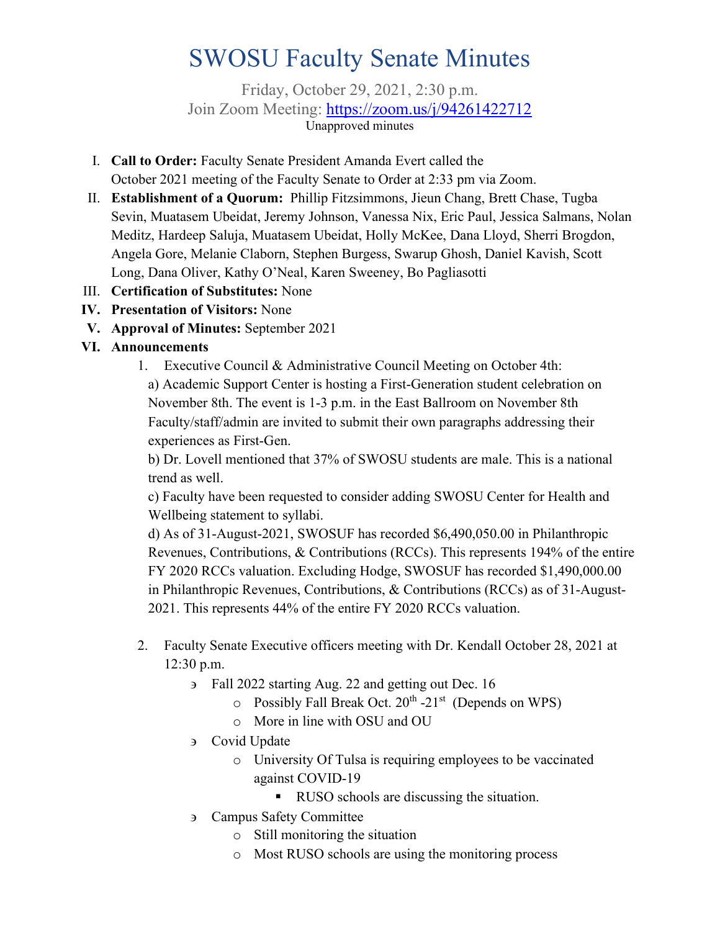# SWOSU Faculty Senate Minutes

Friday, October 29, 2021, 2:30 p.m. Join Zoom Meeting: <https://zoom.us/j/94261422712> Unapproved minutes

- I. **Call to Order:** Faculty Senate President Amanda Evert called the October 2021 meeting of the Faculty Senate to Order at 2:33 pm via Zoom.
- II. **Establishment of a Quorum:** Phillip Fitzsimmons, Jieun Chang, Brett Chase, Tugba Sevin, Muatasem Ubeidat, Jeremy Johnson, Vanessa Nix, Eric Paul, Jessica Salmans, Nolan Meditz, Hardeep Saluja, Muatasem Ubeidat, Holly McKee, Dana Lloyd, Sherri Brogdon, Angela Gore, Melanie Claborn, Stephen Burgess, Swarup Ghosh, Daniel Kavish, Scott Long, Dana Oliver, Kathy O'Neal, Karen Sweeney, Bo Pagliasotti
- III. **Certification of Substitutes:** None
- **IV. Presentation of Visitors:** None
- **V. Approval of Minutes:** September 2021

#### **VI. Announcements**

1. Executive Council & Administrative Council Meeting on October 4th: a) Academic Support Center is hosting a First-Generation student celebration on November 8th. The event is 1-3 p.m. in the East Ballroom on November 8th Faculty/staff/admin are invited to submit their own paragraphs addressing their experiences as First-Gen.

b) Dr. Lovell mentioned that 37% of SWOSU students are male. This is a national trend as well.

c) Faculty have been requested to consider adding SWOSU Center for Health and Wellbeing statement to syllabi.

d) As of 31-August-2021, SWOSUF has recorded \$6,490,050.00 in Philanthropic Revenues, Contributions, & Contributions (RCCs). This represents 194% of the entire FY 2020 RCCs valuation. Excluding Hodge, SWOSUF has recorded \$1,490,000.00 in Philanthropic Revenues, Contributions, & Contributions (RCCs) as of 31-August-2021. This represents 44% of the entire FY 2020 RCCs valuation.

- 2. Faculty Senate Executive officers meeting with Dr. Kendall October 28, 2021 at 12:30 p.m.
	- ∋ Fall 2022 starting Aug. 22 and getting out Dec. 16
		- $\circ$  Possibly Fall Break Oct. 20<sup>th</sup> -21<sup>st</sup> (Depends on WPS)
		- o More in line with OSU and OU
	- ∋ Covid Update
		- o University Of Tulsa is requiring employees to be vaccinated against COVID-19
			- RUSO schools are discussing the situation.
	- ∋ Campus Safety Committee
		- o Still monitoring the situation
		- o Most RUSO schools are using the monitoring process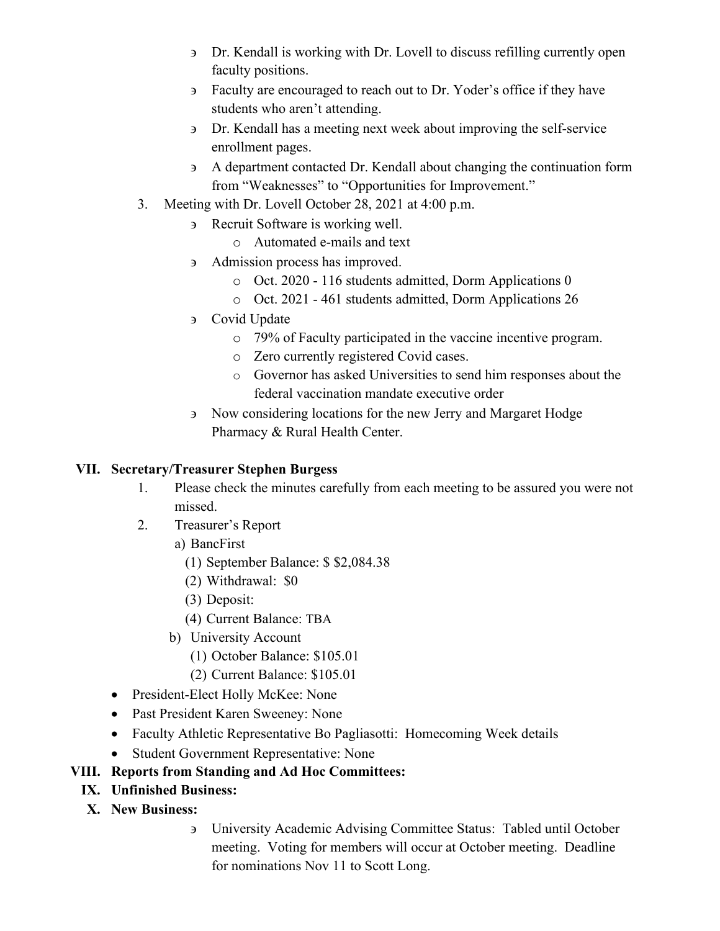- ∋ Dr. Kendall is working with Dr. Lovell to discuss refilling currently open faculty positions.
- ∋ Faculty are encouraged to reach out to Dr. Yoder's office if they have students who aren't attending.
- ∋ Dr. Kendall has a meeting next week about improving the self-service enrollment pages.
- ∋ A department contacted Dr. Kendall about changing the continuation form from "Weaknesses" to "Opportunities for Improvement."
- 3. Meeting with Dr. Lovell October 28, 2021 at 4:00 p.m.
	- ∋ Recruit Software is working well.
		- o Automated e-mails and text
	- ∋ Admission process has improved.
		- o Oct. 2020 116 students admitted, Dorm Applications 0
		- o Oct. 2021 461 students admitted, Dorm Applications 26
	- ∋ Covid Update
		- o 79% of Faculty participated in the vaccine incentive program.
		- o Zero currently registered Covid cases.
		- o Governor has asked Universities to send him responses about the federal vaccination mandate executive order
	- ∋ Now considering locations for the new Jerry and Margaret Hodge Pharmacy & Rural Health Center.

#### **VII. Secretary/Treasurer Stephen Burgess**

- 1. Please check the minutes carefully from each meeting to be assured you were not missed.
- 2. Treasurer's Report
	- a) BancFirst
		- (1) September Balance: \$ \$2,084.38
		- (2) Withdrawal: \$0
		- (3) Deposit:
		- (4) Current Balance: TBA
	- b) University Account
		- (1) October Balance: \$105.01
		- (2) Current Balance: \$105.01
- President-Elect Holly McKee: None
- Past President Karen Sweeney: None
- Faculty Athletic Representative Bo Pagliasotti: Homecoming Week details
- Student Government Representative: None

#### **VIII. Reports from Standing and Ad Hoc Committees:**

- **IX. Unfinished Business:**
- **X. New Business:** 
	- ∋ University Academic Advising Committee Status: Tabled until October meeting. Voting for members will occur at October meeting. Deadline for nominations Nov 11 to Scott Long.